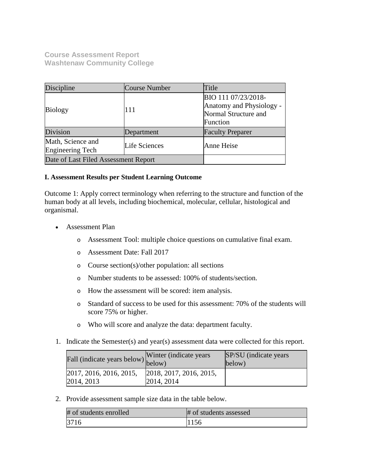**Course Assessment Report Washtenaw Community College**

| Discipline                            | Course Number | Title                                                                               |  |
|---------------------------------------|---------------|-------------------------------------------------------------------------------------|--|
| <b>Biology</b>                        | 111           | BIO 111 07/23/2018-<br>Anatomy and Physiology -<br>Normal Structure and<br>Function |  |
| Division                              | Department    | <b>Faculty Preparer</b>                                                             |  |
| Math, Science and<br>Engineering Tech | Life Sciences | Anne Heise                                                                          |  |
| Date of Last Filed Assessment Report  |               |                                                                                     |  |

## **I. Assessment Results per Student Learning Outcome**

Outcome 1: Apply correct terminology when referring to the structure and function of the human body at all levels, including biochemical, molecular, cellular, histological and organismal.

- Assessment Plan
	- o Assessment Tool: multiple choice questions on cumulative final exam.
	- o Assessment Date: Fall 2017
	- o Course section(s)/other population: all sections
	- o Number students to be assessed: 100% of students/section.
	- o How the assessment will be scored: item analysis.
	- o Standard of success to be used for this assessment: 70% of the students will score 75% or higher.
	- o Who will score and analyze the data: department faculty.
- 1. Indicate the Semester(s) and year(s) assessment data were collected for this report.

| Fall (indicate years below) below)    | Winter (indicate years)               | <b>SP/SU</b> (indicate years)<br>below) |
|---------------------------------------|---------------------------------------|-----------------------------------------|
| 2017, 2016, 2016, 2015,<br>2014, 2013 | 2018, 2017, 2016, 2015,<br>2014, 2014 |                                         |

2. Provide assessment sample size data in the table below.

| # of students enrolled | # of students assessed |
|------------------------|------------------------|
| 3716                   | 1156                   |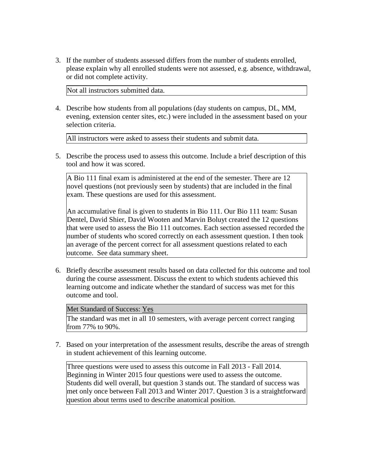3. If the number of students assessed differs from the number of students enrolled, please explain why all enrolled students were not assessed, e.g. absence, withdrawal, or did not complete activity.

Not all instructors submitted data.

4. Describe how students from all populations (day students on campus, DL, MM, evening, extension center sites, etc.) were included in the assessment based on your selection criteria.

All instructors were asked to assess their students and submit data.

5. Describe the process used to assess this outcome. Include a brief description of this tool and how it was scored.

A Bio 111 final exam is administered at the end of the semester. There are 12 novel questions (not previously seen by students) that are included in the final exam. These questions are used for this assessment.

An accumulative final is given to students in Bio 111. Our Bio 111 team: Susan Dentel, David Shier, David Wooten and Marvin Boluyt created the 12 questions that were used to assess the Bio 111 outcomes. Each section assessed recorded the number of students who scored correctly on each assessment question. I then took an average of the percent correct for all assessment questions related to each outcome. See data summary sheet.

6. Briefly describe assessment results based on data collected for this outcome and tool during the course assessment. Discuss the extent to which students achieved this learning outcome and indicate whether the standard of success was met for this outcome and tool.

Met Standard of Success: Yes

The standard was met in all 10 semesters, with average percent correct ranging from 77% to 90%.

7. Based on your interpretation of the assessment results, describe the areas of strength in student achievement of this learning outcome.

Three questions were used to assess this outcome in Fall 2013 - Fall 2014. Beginning in Winter 2015 four questions were used to assess the outcome. Students did well overall, but question 3 stands out. The standard of success was met only once between Fall 2013 and Winter 2017. Question 3 is a straightforward question about terms used to describe anatomical position.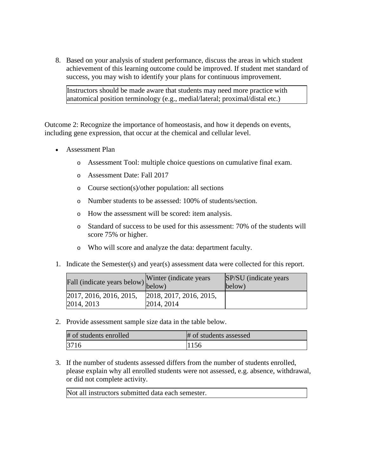8. Based on your analysis of student performance, discuss the areas in which student achievement of this learning outcome could be improved. If student met standard of success, you may wish to identify your plans for continuous improvement.

Instructors should be made aware that students may need more practice with anatomical position terminology (e.g., medial/lateral; proximal/distal etc.)

Outcome 2: Recognize the importance of homeostasis, and how it depends on events, including gene expression, that occur at the chemical and cellular level.

- Assessment Plan
	- o Assessment Tool: multiple choice questions on cumulative final exam.
	- o Assessment Date: Fall 2017
	- o Course section(s)/other population: all sections
	- o Number students to be assessed: 100% of students/section.
	- o How the assessment will be scored: item analysis.
	- o Standard of success to be used for this assessment: 70% of the students will score 75% or higher.
	- o Who will score and analyze the data: department faculty.
- 1. Indicate the Semester(s) and year(s) assessment data were collected for this report.

| Fall (indicate years below) below)    | Winter (indicate years)               | <b>SP/SU</b> (indicate years)<br>below) |
|---------------------------------------|---------------------------------------|-----------------------------------------|
| 2017, 2016, 2016, 2015,<br>2014, 2013 | 2018, 2017, 2016, 2015,<br>2014, 2014 |                                         |

2. Provide assessment sample size data in the table below.

| # of students enrolled | # of students assessed |
|------------------------|------------------------|
| 3716                   | 1156                   |

3. If the number of students assessed differs from the number of students enrolled, please explain why all enrolled students were not assessed, e.g. absence, withdrawal, or did not complete activity.

Not all instructors submitted data each semester.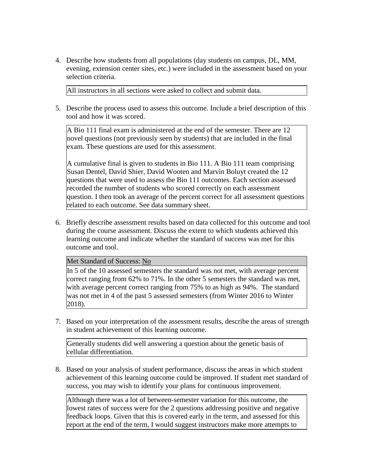4. Describe how students from all populations (day students on campus, DL, MM, evening, extension center sites, etc.) were included in the assessment based on your selection criteria.

All instructors in all sections were asked to collect and submit data.

5. Describe the process used to assess this outcome. Include a brief description of this tool and how it was scored.

A Bio 111 final exam is administered at the end of the semester. There are 12 novel questions (not previously seen by students) that are included in the final exam. These questions are used for this assessment.

A cumulative final is given to students in Bio 111. A Bio 111 team comprising Susan Dentel, David Shier, David Wooten and Marvin Boluyt created the 12 questions that were used to assess the Bio 111 outcomes. Each section assessed recorded the number of students who scored correctly on each assessment question. I then took an average of the percent correct for all assessment questions related to each outcome. See data summary sheet.

6. Briefly describe assessment results based on data collected for this outcome and tool during the course assessment. Discuss the extent to which students achieved this learning outcome and indicate whether the standard of success was met for this outcome and tool.

## Met Standard of Success: No

In 5 of the 10 assessed semesters the standard was not met, with average percent correct ranging from 62% to 71%. In the other 5 semesters the standard was met, with average percent correct ranging from 75% to as high as 94%. The standard was not met in 4 of the past 5 assessed semesters (from Winter 2016 to Winter 2018).

7. Based on your interpretation of the assessment results, describe the areas of strength in student achievement of this learning outcome.

Generally students did well answering a question about the genetic basis of cellular differentiation.

8. Based on your analysis of student performance, discuss the areas in which student achievement of this learning outcome could be improved. If student met standard of success, you may wish to identify your plans for continuous improvement.

Although there was a lot of between-semester variation for this outcome, the lowest rates of success were for the 2 questions addressing positive and negative feedback loops. Given that this is covered early in the term, and assessed for this report at the end of the term, I would suggest instructors make more attempts to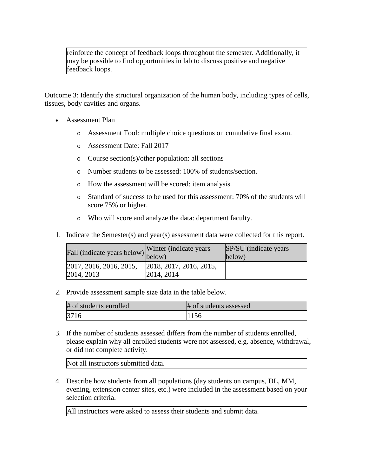reinforce the concept of feedback loops throughout the semester. Additionally, it may be possible to find opportunities in lab to discuss positive and negative feedback loops.

Outcome 3: Identify the structural organization of the human body, including types of cells, tissues, body cavities and organs.

- Assessment Plan
	- o Assessment Tool: multiple choice questions on cumulative final exam.
	- o Assessment Date: Fall 2017
	- o Course section(s)/other population: all sections
	- o Number students to be assessed: 100% of students/section.
	- o How the assessment will be scored: item analysis.
	- o Standard of success to be used for this assessment: 70% of the students will score 75% or higher.
	- o Who will score and analyze the data: department faculty.
- 1. Indicate the Semester(s) and year(s) assessment data were collected for this report.

| Fall (indicate years below) below)    | Winter (indicate years)               | <b>SP/SU</b> (indicate years)<br>below) |
|---------------------------------------|---------------------------------------|-----------------------------------------|
| 2017, 2016, 2016, 2015,<br>2014, 2013 | 2018, 2017, 2016, 2015,<br>2014, 2014 |                                         |

2. Provide assessment sample size data in the table below.

| # of students enrolled | # of students assessed |
|------------------------|------------------------|
| 3716                   | 1156                   |

3. If the number of students assessed differs from the number of students enrolled, please explain why all enrolled students were not assessed, e.g. absence, withdrawal, or did not complete activity.

Not all instructors submitted data.

4. Describe how students from all populations (day students on campus, DL, MM, evening, extension center sites, etc.) were included in the assessment based on your selection criteria.

All instructors were asked to assess their students and submit data.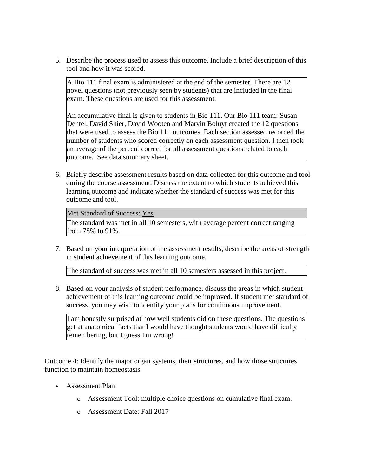5. Describe the process used to assess this outcome. Include a brief description of this tool and how it was scored.

A Bio 111 final exam is administered at the end of the semester. There are 12 novel questions (not previously seen by students) that are included in the final exam. These questions are used for this assessment.

An accumulative final is given to students in Bio 111. Our Bio 111 team: Susan Dentel, David Shier, David Wooten and Marvin Boluyt created the 12 questions that were used to assess the Bio 111 outcomes. Each section assessed recorded the number of students who scored correctly on each assessment question. I then took an average of the percent correct for all assessment questions related to each outcome. See data summary sheet.

6. Briefly describe assessment results based on data collected for this outcome and tool during the course assessment. Discuss the extent to which students achieved this learning outcome and indicate whether the standard of success was met for this outcome and tool.

Met Standard of Success: Yes

The standard was met in all 10 semesters, with average percent correct ranging from 78% to 91%.

7. Based on your interpretation of the assessment results, describe the areas of strength in student achievement of this learning outcome.

The standard of success was met in all 10 semesters assessed in this project.

8. Based on your analysis of student performance, discuss the areas in which student achievement of this learning outcome could be improved. If student met standard of success, you may wish to identify your plans for continuous improvement.

I am honestly surprised at how well students did on these questions. The questions get at anatomical facts that I would have thought students would have difficulty remembering, but I guess I'm wrong!

Outcome 4: Identify the major organ systems, their structures, and how those structures function to maintain homeostasis.

- Assessment Plan
	- o Assessment Tool: multiple choice questions on cumulative final exam.
	- o Assessment Date: Fall 2017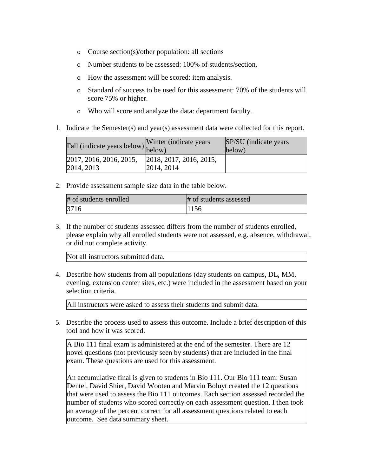- o Course section(s)/other population: all sections
- o Number students to be assessed: 100% of students/section.
- o How the assessment will be scored: item analysis.
- o Standard of success to be used for this assessment: 70% of the students will score 75% or higher.
- o Who will score and analyze the data: department faculty.
- 1. Indicate the Semester(s) and year(s) assessment data were collected for this report.

| Fall (indicate years below) below)    | Winter (indicate years)               | <b>SP/SU</b> (indicate years)<br>below) |
|---------------------------------------|---------------------------------------|-----------------------------------------|
| 2017, 2016, 2016, 2015,<br>2014, 2013 | 2018, 2017, 2016, 2015,<br>2014, 2014 |                                         |

2. Provide assessment sample size data in the table below.

| # of students enrolled | # of students assessed |
|------------------------|------------------------|
|                        |                        |

3. If the number of students assessed differs from the number of students enrolled, please explain why all enrolled students were not assessed, e.g. absence, withdrawal, or did not complete activity.

Not all instructors submitted data.

4. Describe how students from all populations (day students on campus, DL, MM, evening, extension center sites, etc.) were included in the assessment based on your selection criteria.

All instructors were asked to assess their students and submit data.

5. Describe the process used to assess this outcome. Include a brief description of this tool and how it was scored.

A Bio 111 final exam is administered at the end of the semester. There are 12 novel questions (not previously seen by students) that are included in the final exam. These questions are used for this assessment.

An accumulative final is given to students in Bio 111. Our Bio 111 team: Susan Dentel, David Shier, David Wooten and Marvin Boluyt created the 12 questions that were used to assess the Bio 111 outcomes. Each section assessed recorded the number of students who scored correctly on each assessment question. I then took an average of the percent correct for all assessment questions related to each outcome. See data summary sheet.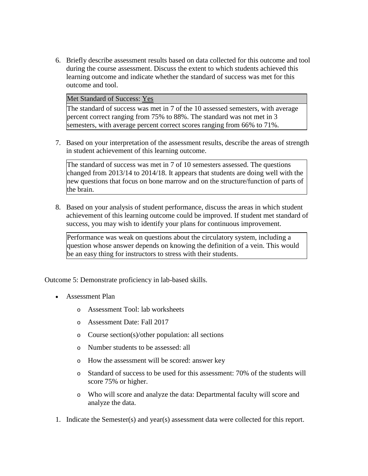6. Briefly describe assessment results based on data collected for this outcome and tool during the course assessment. Discuss the extent to which students achieved this learning outcome and indicate whether the standard of success was met for this outcome and tool.

Met Standard of Success: Yes

The standard of success was met in 7 of the 10 assessed semesters, with average percent correct ranging from 75% to 88%. The standard was not met in 3 semesters, with average percent correct scores ranging from 66% to 71%.

7. Based on your interpretation of the assessment results, describe the areas of strength in student achievement of this learning outcome.

The standard of success was met in 7 of 10 semesters assessed. The questions changed from 2013/14 to 2014/18. It appears that students are doing well with the new questions that focus on bone marrow and on the structure/function of parts of the brain.

8. Based on your analysis of student performance, discuss the areas in which student achievement of this learning outcome could be improved. If student met standard of success, you may wish to identify your plans for continuous improvement.

Performance was weak on questions about the circulatory system, including a question whose answer depends on knowing the definition of a vein. This would be an easy thing for instructors to stress with their students.

Outcome 5: Demonstrate proficiency in lab-based skills.

- Assessment Plan
	- o Assessment Tool: lab worksheets
	- o Assessment Date: Fall 2017
	- o Course section(s)/other population: all sections
	- o Number students to be assessed: all
	- o How the assessment will be scored: answer key
	- o Standard of success to be used for this assessment: 70% of the students will score 75% or higher.
	- o Who will score and analyze the data: Departmental faculty will score and analyze the data.
- 1. Indicate the Semester(s) and year(s) assessment data were collected for this report.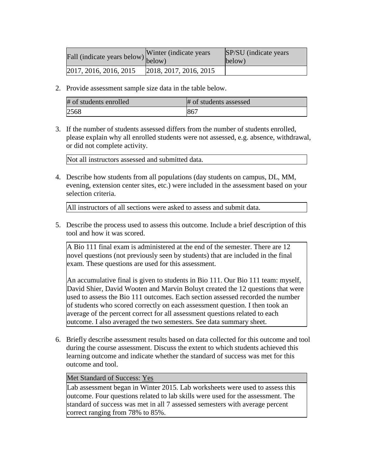| rall (indicate years below) below) | Winter (indicate years | SP/SU (indicate years)<br>below) |
|------------------------------------|------------------------|----------------------------------|
| 2017, 2016, 2016, 2015             | 2018, 2017, 2016, 2015 |                                  |

2. Provide assessment sample size data in the table below.

| # of students enrolled | # of students assessed |
|------------------------|------------------------|
| 2568                   | 867                    |

3. If the number of students assessed differs from the number of students enrolled, please explain why all enrolled students were not assessed, e.g. absence, withdrawal, or did not complete activity.

Not all instructors assessed and submitted data.

4. Describe how students from all populations (day students on campus, DL, MM, evening, extension center sites, etc.) were included in the assessment based on your selection criteria.

All instructors of all sections were asked to assess and submit data.

5. Describe the process used to assess this outcome. Include a brief description of this tool and how it was scored.

A Bio 111 final exam is administered at the end of the semester. There are 12 novel questions (not previously seen by students) that are included in the final exam. These questions are used for this assessment.

An accumulative final is given to students in Bio 111. Our Bio 111 team: myself, David Shier, David Wooten and Marvin Boluyt created the 12 questions that were used to assess the Bio 111 outcomes. Each section assessed recorded the number of students who scored correctly on each assessment question. I then took an average of the percent correct for all assessment questions related to each outcome. I also averaged the two semesters. See data summary sheet.

6. Briefly describe assessment results based on data collected for this outcome and tool during the course assessment. Discuss the extent to which students achieved this learning outcome and indicate whether the standard of success was met for this outcome and tool.

Met Standard of Success: Yes

Lab assessment began in Winter 2015. Lab worksheets were used to assess this outcome. Four questions related to lab skills were used for the assessment. The standard of success was met in all 7 assessed semesters with average percent correct ranging from 78% to 85%.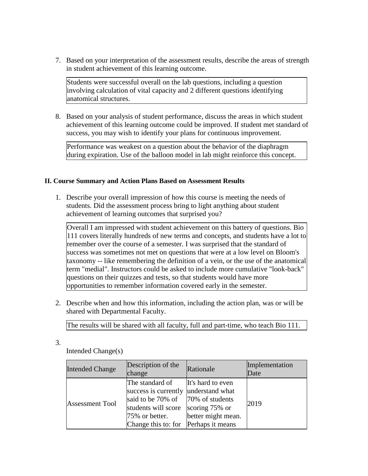7. Based on your interpretation of the assessment results, describe the areas of strength in student achievement of this learning outcome.

Students were successful overall on the lab questions, including a question involving calculation of vital capacity and 2 different questions identifying anatomical structures.

8. Based on your analysis of student performance, discuss the areas in which student achievement of this learning outcome could be improved. If student met standard of success, you may wish to identify your plans for continuous improvement.

Performance was weakest on a question about the behavior of the diaphragm during expiration. Use of the balloon model in lab might reinforce this concept.

## **II. Course Summary and Action Plans Based on Assessment Results**

1. Describe your overall impression of how this course is meeting the needs of students. Did the assessment process bring to light anything about student achievement of learning outcomes that surprised you?

Overall I am impressed with student achievement on this battery of questions. Bio 111 covers literally hundreds of new terms and concepts, and students have a lot to remember over the course of a semester. I was surprised that the standard of success was sometimes not met on questions that were at a low level on Bloom's taxonomy -- like remembering the definition of a vein, or the use of the anatomical term "medial". Instructors could be asked to include more cumulative "look-back" questions on their quizzes and tests, so that students would have more opportunities to remember information covered early in the semester.

2. Describe when and how this information, including the action plan, was or will be shared with Departmental Faculty.

The results will be shared with all faculty, full and part-time, who teach Bio 111.

3.

Intended Change(s)

| <b>Intended Change</b> | Description of the<br>change                                                                                                                                                  | Rationale                                                 | Implementation<br>Date |
|------------------------|-------------------------------------------------------------------------------------------------------------------------------------------------------------------------------|-----------------------------------------------------------|------------------------|
| <b>Assessment Tool</b> | The standard of<br>success is currently understand what<br>said to be 70% of 70% of students<br>students will score<br>75% or better.<br>Change this to: for Perhaps it means | It's hard to even<br>scoring 75% or<br>better might mean. | 2019                   |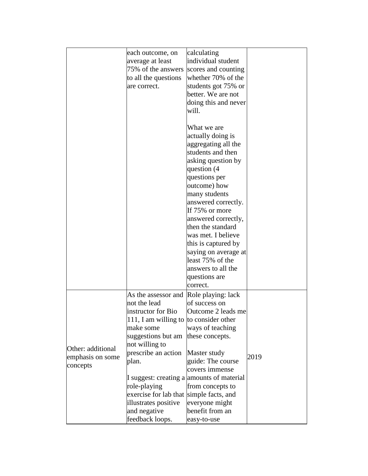|                                                   | each outcome, on<br>average at least<br>75% of the answers<br>to all the questions<br>are correct.                                                                                                                                                                                                             | calculating<br>individual student<br>scores and counting<br>whether 70% of the<br>students got 75% or<br>better. We are not<br>doing this and never<br>will.                                                                                                                                                                                                                                         |      |
|---------------------------------------------------|----------------------------------------------------------------------------------------------------------------------------------------------------------------------------------------------------------------------------------------------------------------------------------------------------------------|------------------------------------------------------------------------------------------------------------------------------------------------------------------------------------------------------------------------------------------------------------------------------------------------------------------------------------------------------------------------------------------------------|------|
|                                                   |                                                                                                                                                                                                                                                                                                                | What we are<br>actually doing is<br>aggregating all the<br>students and then<br>asking question by<br>question (4<br>questions per<br>outcome) how<br>many students<br>answered correctly.<br>If 75% or more<br>answered correctly,<br>then the standard<br>was met. I believe<br>this is captured by<br>saying on average at<br>least 75% of the<br>answers to all the<br>questions are<br>correct. |      |
| Other: additional<br>emphasis on some<br>concepts | As the assessor and<br>not the lead<br>instructor for Bio<br>111, I am willing to to consider other<br>make some<br>suggestions but am<br>not willing to<br>prescribe an action<br>plan.<br>role-playing<br>exercise for lab that simple facts, and<br>illustrates positive<br>and negative<br>feedback loops. | Role playing: lack<br>of success on<br>Outcome 2 leads me<br>ways of teaching<br>these concepts.<br>Master study<br>guide: The course<br>covers immense<br>I suggest: creating a amounts of material<br>from concepts to<br>everyone might<br>benefit from an<br>easy-to-use                                                                                                                         | 2019 |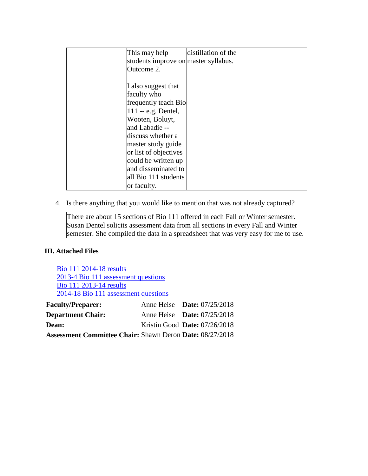| This may help                        | distillation of the |
|--------------------------------------|---------------------|
| students improve on master syllabus. |                     |
| Outcome 2.                           |                     |
|                                      |                     |
| I also suggest that                  |                     |
| faculty who                          |                     |
| frequently teach Bio                 |                     |
| $111 - e.g.$ Dentel,                 |                     |
| Wooten, Boluyt,                      |                     |
| and Labadie --                       |                     |
| discuss whether a                    |                     |
| master study guide                   |                     |
| or list of objectives                |                     |
| could be written up                  |                     |
| and disseminated to                  |                     |
| all Bio 111 students                 |                     |
| or faculty.                          |                     |

4. Is there anything that you would like to mention that was not already captured?

There are about 15 sections of Bio 111 offered in each Fall or Winter semester. Susan Dentel solicits assessment data from all sections in every Fall and Winter semester. She compiled the data in a spreadsheet that was very easy for me to use.

## **III. Attached Files**

Bio 111 2014-18 results 2013-4 Bio 111 assessment questions Bio 111 2013-14 results 2014-18 Bio 111 assessment questions **Faculty/Preparer:** Anne Heise **Date:** 07/25/2018 **Department Chair:** Anne Heise **Date:** 07/25/2018 **Dean:** Kristin Good **Date:** 07/26/2018 **Assessment Committee Chair:** Shawn Deron **Date:** 08/27/2018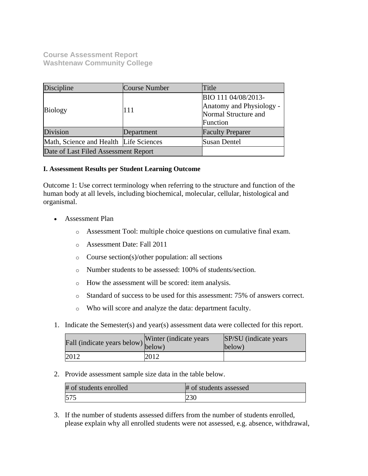**Course Assessment Report Washtenaw Community College**

| Discipline                             | Course Number | Title                                                                               |
|----------------------------------------|---------------|-------------------------------------------------------------------------------------|
| <b>Biology</b>                         | 111           | BIO 111 04/08/2013-<br>Anatomy and Physiology -<br>Normal Structure and<br>Function |
| Division                               | Department    | <b>Faculty Preparer</b>                                                             |
| Math, Science and Health Life Sciences |               | <b>Susan Dentel</b>                                                                 |
| Date of Last Filed Assessment Report   |               |                                                                                     |

## **I. Assessment Results per Student Learning Outcome**

Outcome 1: Use correct terminology when referring to the structure and function of the human body at all levels, including biochemical, molecular, cellular, histological and organismal.

- Assessment Plan
	- o Assessment Tool: multiple choice questions on cumulative final exam.
	- o Assessment Date: Fall 2011
	- o Course section(s)/other population: all sections
	- o Number students to be assessed: 100% of students/section.
	- o How the assessment will be scored: item analysis.
	- o Standard of success to be used for this assessment: 75% of answers correct.
	- o Who will score and analyze the data: department faculty.
- 1. Indicate the Semester(s) and year(s) assessment data were collected for this report.

| Fall (indicate years below) below) | Winter (indicate years) | SP/SU (indicate years)<br>below) |
|------------------------------------|-------------------------|----------------------------------|
| 2012                               | 2012                    |                                  |

2. Provide assessment sample size data in the table below.

| # of students enrolled | # of students assessed |
|------------------------|------------------------|
| 575                    | 23 U                   |

3. If the number of students assessed differs from the number of students enrolled, please explain why all enrolled students were not assessed, e.g. absence, withdrawal,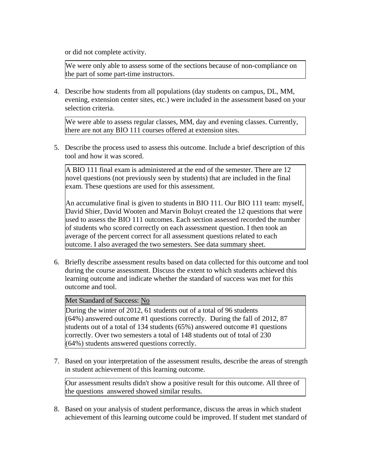or did not complete activity.

We were only able to assess some of the sections because of non-compliance on the part of some part-time instructors.

4. Describe how students from all populations (day students on campus, DL, MM, evening, extension center sites, etc.) were included in the assessment based on your selection criteria.

We were able to assess regular classes, MM, day and evening classes. Currently, there are not any BIO 111 courses offered at extension sites.

5. Describe the process used to assess this outcome. Include a brief description of this tool and how it was scored.

A BIO 111 final exam is administered at the end of the semester. There are 12 novel questions (not previously seen by students) that are included in the final exam. These questions are used for this assessment.

An accumulative final is given to students in BIO 111. Our BIO 111 team: myself, David Shier, David Wooten and Marvin Boluyt created the 12 questions that were used to assess the BIO 111 outcomes. Each section assessed recorded the number of students who scored correctly on each assessment question. I then took an average of the percent correct for all assessment questions related to each outcome. I also averaged the two semesters. See data summary sheet.

6. Briefly describe assessment results based on data collected for this outcome and tool during the course assessment. Discuss the extent to which students achieved this learning outcome and indicate whether the standard of success was met for this outcome and tool.

Met Standard of Success: No

During the winter of 2012, 61 students out of a total of 96 students (64%) answered outcome #1 questions correctly. During the fall of 2012, 87 students out of a total of 134 students (65%) answered outcome #1 questions correctly. Over two semesters a total of 148 students out of total of 230 (64%) students answered questions correctly.

7. Based on your interpretation of the assessment results, describe the areas of strength in student achievement of this learning outcome.

Our assessment results didn't show a positive result for this outcome. All three of the questions answered showed similar results.

8. Based on your analysis of student performance, discuss the areas in which student achievement of this learning outcome could be improved. If student met standard of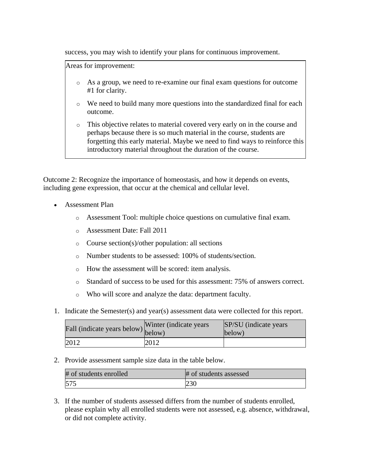success, you may wish to identify your plans for continuous improvement.

Areas for improvement:

- o As a group, we need to re-examine our final exam questions for outcome #1 for clarity.
- o We need to build many more questions into the standardized final for each outcome.
- o This objective relates to material covered very early on in the course and perhaps because there is so much material in the course, students are forgetting this early material. Maybe we need to find ways to reinforce this introductory material throughout the duration of the course.

Outcome 2: Recognize the importance of homeostasis, and how it depends on events, including gene expression, that occur at the chemical and cellular level.

- Assessment Plan
	- o Assessment Tool: multiple choice questions on cumulative final exam.
	- o Assessment Date: Fall 2011
	- o Course section(s)/other population: all sections
	- o Number students to be assessed: 100% of students/section.
	- o How the assessment will be scored: item analysis.
	- o Standard of success to be used for this assessment: 75% of answers correct.
	- o Who will score and analyze the data: department faculty.
- 1. Indicate the Semester(s) and year(s) assessment data were collected for this report.

| rall (indicate years below) below) | Winter (indicate years) | SP/SU (indicate years)<br>below) |
|------------------------------------|-------------------------|----------------------------------|
| 2012                               | 2012                    |                                  |

2. Provide assessment sample size data in the table below.

| # of students enrolled | # of students assessed |
|------------------------|------------------------|
| 575                    | 230                    |

3. If the number of students assessed differs from the number of students enrolled, please explain why all enrolled students were not assessed, e.g. absence, withdrawal, or did not complete activity.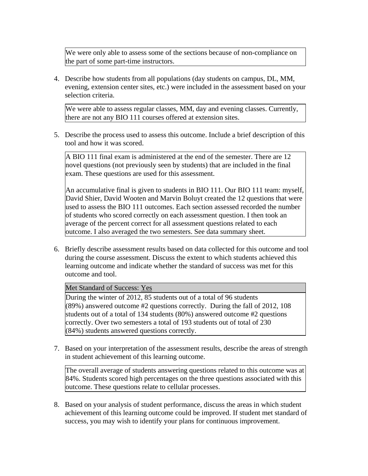We were only able to assess some of the sections because of non-compliance on the part of some part-time instructors.

4. Describe how students from all populations (day students on campus, DL, MM, evening, extension center sites, etc.) were included in the assessment based on your selection criteria.

We were able to assess regular classes, MM, day and evening classes. Currently, there are not any BIO 111 courses offered at extension sites.

5. Describe the process used to assess this outcome. Include a brief description of this tool and how it was scored.

A BIO 111 final exam is administered at the end of the semester. There are 12 novel questions (not previously seen by students) that are included in the final exam. These questions are used for this assessment.

An accumulative final is given to students in BIO 111. Our BIO 111 team: myself, David Shier, David Wooten and Marvin Boluyt created the 12 questions that were used to assess the BIO 111 outcomes. Each section assessed recorded the number of students who scored correctly on each assessment question. I then took an average of the percent correct for all assessment questions related to each outcome. I also averaged the two semesters. See data summary sheet.

6. Briefly describe assessment results based on data collected for this outcome and tool during the course assessment. Discuss the extent to which students achieved this learning outcome and indicate whether the standard of success was met for this outcome and tool.

Met Standard of Success: Yes

During the winter of 2012, 85 students out of a total of 96 students (89%) answered outcome #2 questions correctly. During the fall of 2012, 108 students out of a total of 134 students (80%) answered outcome #2 questions correctly. Over two semesters a total of 193 students out of total of 230 (84%) students answered questions correctly.

7. Based on your interpretation of the assessment results, describe the areas of strength in student achievement of this learning outcome.

The overall average of students answering questions related to this outcome was at 84%. Students scored high percentages on the three questions associated with this outcome. These questions relate to cellular processes.

8. Based on your analysis of student performance, discuss the areas in which student achievement of this learning outcome could be improved. If student met standard of success, you may wish to identify your plans for continuous improvement.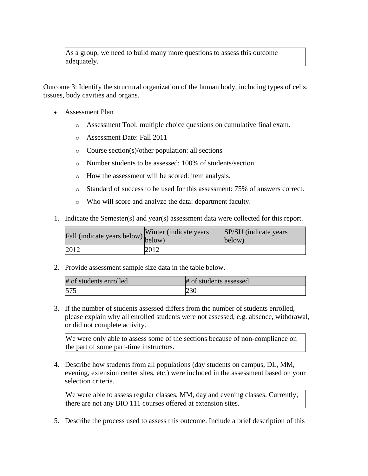As a group, we need to build many more questions to assess this outcome adequately.

Outcome 3: Identify the structural organization of the human body, including types of cells, tissues, body cavities and organs.

- Assessment Plan
	- o Assessment Tool: multiple choice questions on cumulative final exam.
	- o Assessment Date: Fall 2011
	- o Course section(s)/other population: all sections
	- o Number students to be assessed: 100% of students/section.
	- o How the assessment will be scored: item analysis.
	- o Standard of success to be used for this assessment: 75% of answers correct.
	- o Who will score and analyze the data: department faculty.
- 1. Indicate the Semester(s) and year(s) assessment data were collected for this report.

| Fall (indicate years below) below) | Winter (indicate years) | SP/SU (indicate years)<br>below) |
|------------------------------------|-------------------------|----------------------------------|
| 2012                               | 2012                    |                                  |

2. Provide assessment sample size data in the table below.

| # of students enrolled | # of students assessed |
|------------------------|------------------------|
| 575                    | 230                    |

3. If the number of students assessed differs from the number of students enrolled, please explain why all enrolled students were not assessed, e.g. absence, withdrawal, or did not complete activity.

We were only able to assess some of the sections because of non-compliance on the part of some part-time instructors.

4. Describe how students from all populations (day students on campus, DL, MM, evening, extension center sites, etc.) were included in the assessment based on your selection criteria.

We were able to assess regular classes, MM, day and evening classes. Currently, there are not any BIO 111 courses offered at extension sites.

5. Describe the process used to assess this outcome. Include a brief description of this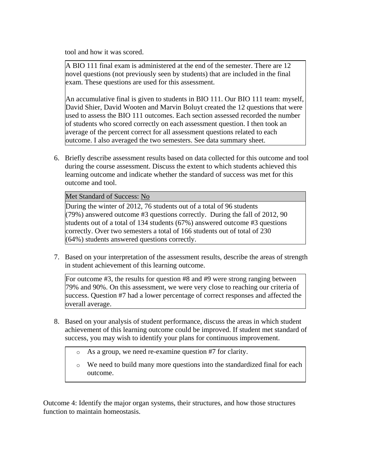tool and how it was scored.

A BIO 111 final exam is administered at the end of the semester. There are 12 novel questions (not previously seen by students) that are included in the final exam. These questions are used for this assessment.

An accumulative final is given to students in BIO 111. Our BIO 111 team: myself, David Shier, David Wooten and Marvin Boluyt created the 12 questions that were used to assess the BIO 111 outcomes. Each section assessed recorded the number of students who scored correctly on each assessment question. I then took an average of the percent correct for all assessment questions related to each outcome. I also averaged the two semesters. See data summary sheet.

6. Briefly describe assessment results based on data collected for this outcome and tool during the course assessment. Discuss the extent to which students achieved this learning outcome and indicate whether the standard of success was met for this outcome and tool.

Met Standard of Success: No

During the winter of 2012, 76 students out of a total of 96 students (79%) answered outcome #3 questions correctly. During the fall of 2012, 90 students out of a total of 134 students (67%) answered outcome #3 questions correctly. Over two semesters a total of 166 students out of total of 230 (64%) students answered questions correctly.

7. Based on your interpretation of the assessment results, describe the areas of strength in student achievement of this learning outcome.

For outcome #3, the results for question #8 and #9 were strong ranging between 79% and 90%. On this assessment, we were very close to reaching our criteria of success. Question #7 had a lower percentage of correct responses and affected the overall average.

- 8. Based on your analysis of student performance, discuss the areas in which student achievement of this learning outcome could be improved. If student met standard of success, you may wish to identify your plans for continuous improvement.
	- o As a group, we need re-examine question #7 for clarity.
	- $\circ$  We need to build many more questions into the standardized final for each outcome.

Outcome 4: Identify the major organ systems, their structures, and how those structures function to maintain homeostasis.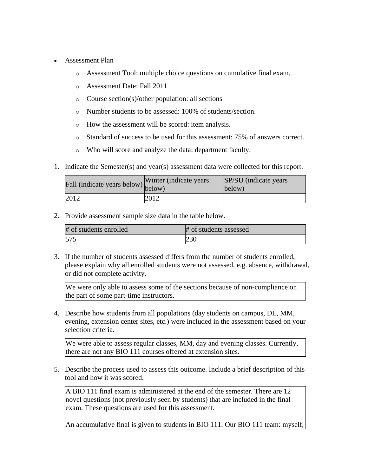- Assessment Plan
	- o Assessment Tool: multiple choice questions on cumulative final exam.
	- o Assessment Date: Fall 2011
	- o Course section(s)/other population: all sections
	- o Number students to be assessed: 100% of students/section.
	- o How the assessment will be scored: item analysis.
	- o Standard of success to be used for this assessment: 75% of answers correct.
	- o Who will score and analyze the data: department faculty.
- 1. Indicate the Semester(s) and year(s) assessment data were collected for this report.

| Fall (indicate years below) below) | Winter (indicate years) | SP/SU (indicate years)<br>below) |
|------------------------------------|-------------------------|----------------------------------|
| 2012                               | 2012                    |                                  |

2. Provide assessment sample size data in the table below.

| # of students enrolled | # of students assessed |
|------------------------|------------------------|
| 575                    | 230                    |

3. If the number of students assessed differs from the number of students enrolled, please explain why all enrolled students were not assessed, e.g. absence, withdrawal, or did not complete activity.

We were only able to assess some of the sections because of non-compliance on the part of some part-time instructors.

4. Describe how students from all populations (day students on campus, DL, MM, evening, extension center sites, etc.) were included in the assessment based on your selection criteria.

We were able to assess regular classes, MM, day and evening classes. Currently, there are not any BIO 111 courses offered at extension sites.

5. Describe the process used to assess this outcome. Include a brief description of this tool and how it was scored.

A BIO 111 final exam is administered at the end of the semester. There are 12 novel questions (not previously seen by students) that are included in the final exam. These questions are used for this assessment.

An accumulative final is given to students in BIO 111. Our BIO 111 team: myself,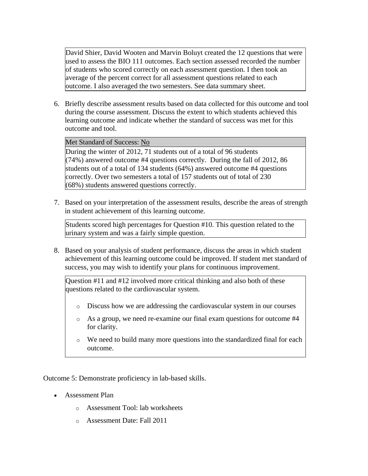David Shier, David Wooten and Marvin Boluyt created the 12 questions that were used to assess the BIO 111 outcomes. Each section assessed recorded the number of students who scored correctly on each assessment question. I then took an average of the percent correct for all assessment questions related to each outcome. I also averaged the two semesters. See data summary sheet.

6. Briefly describe assessment results based on data collected for this outcome and tool during the course assessment. Discuss the extent to which students achieved this learning outcome and indicate whether the standard of success was met for this outcome and tool.

Met Standard of Success: No

During the winter of 2012, 71 students out of a total of 96 students (74%) answered outcome #4 questions correctly. During the fall of 2012, 86 students out of a total of 134 students (64%) answered outcome #4 questions correctly. Over two semesters a total of 157 students out of total of 230 (68%) students answered questions correctly.

7. Based on your interpretation of the assessment results, describe the areas of strength in student achievement of this learning outcome.

Students scored high percentages for Question #10. This question related to the urinary system and was a fairly simple question.

8. Based on your analysis of student performance, discuss the areas in which student achievement of this learning outcome could be improved. If student met standard of success, you may wish to identify your plans for continuous improvement.

Question #11 and #12 involved more critical thinking and also both of these questions related to the cardiovascular system.

- o Discuss how we are addressing the cardiovascular system in our courses
- o As a group, we need re-examine our final exam questions for outcome #4 for clarity.
- o We need to build many more questions into the standardized final for each outcome.

Outcome 5: Demonstrate proficiency in lab-based skills.

- Assessment Plan
	- o Assessment Tool: lab worksheets
	- o Assessment Date: Fall 2011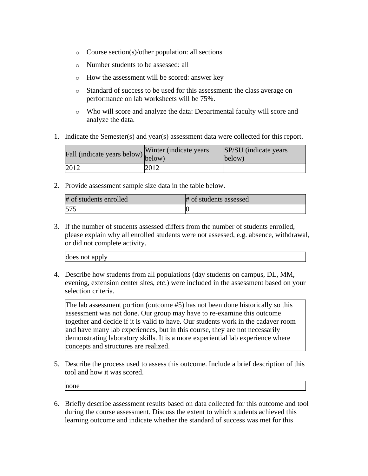- o Course section(s)/other population: all sections
- o Number students to be assessed: all
- o How the assessment will be scored: answer key
- o Standard of success to be used for this assessment: the class average on performance on lab worksheets will be 75%.
- o Who will score and analyze the data: Departmental faculty will score and analyze the data.
- 1. Indicate the Semester(s) and year(s) assessment data were collected for this report.

| Fall (indicate years below) below) | Winter (indicate years) | SP/SU (indicate years)<br>below) |
|------------------------------------|-------------------------|----------------------------------|
| 2012                               | 2012                    |                                  |

2. Provide assessment sample size data in the table below.

| # of students enrolled | # of students assessed |
|------------------------|------------------------|
| 575                    |                        |

3. If the number of students assessed differs from the number of students enrolled, please explain why all enrolled students were not assessed, e.g. absence, withdrawal, or did not complete activity.

| does not apply |
|----------------|
|----------------|

4. Describe how students from all populations (day students on campus, DL, MM, evening, extension center sites, etc.) were included in the assessment based on your selection criteria.

The lab assessment portion (outcome #5) has not been done historically so this assessment was not done. Our group may have to re-examine this outcome together and decide if it is valid to have. Our students work in the cadaver room and have many lab experiences, but in this course, they are not necessarily demonstrating laboratory skills. It is a more experiential lab experience where concepts and structures are realized.

5. Describe the process used to assess this outcome. Include a brief description of this tool and how it was scored.

none

6. Briefly describe assessment results based on data collected for this outcome and tool during the course assessment. Discuss the extent to which students achieved this learning outcome and indicate whether the standard of success was met for this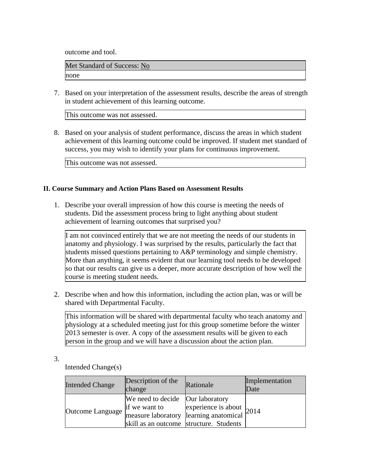outcome and tool.

Met Standard of Success: No none

7. Based on your interpretation of the assessment results, describe the areas of strength in student achievement of this learning outcome.

This outcome was not assessed.

8. Based on your analysis of student performance, discuss the areas in which student achievement of this learning outcome could be improved. If student met standard of success, you may wish to identify your plans for continuous improvement.

This outcome was not assessed.

## **II. Course Summary and Action Plans Based on Assessment Results**

1. Describe your overall impression of how this course is meeting the needs of students. Did the assessment process bring to light anything about student achievement of learning outcomes that surprised you?

I am not convinced entirely that we are not meeting the needs of our students in anatomy and physiology. I was surprised by the results, particularly the fact that students missed questions pertaining to A&P terminology and simple chemistry. More than anything, it seems evident that our learning tool needs to be developed so that our results can give us a deeper, more accurate description of how well the course is meeting student needs.

2. Describe when and how this information, including the action plan, was or will be shared with Departmental Faculty.

This information will be shared with departmental faculty who teach anatomy and physiology at a scheduled meeting just for this group sometime before the winter 2013 semester is over. A copy of the assessment results will be given to each person in the group and we will have a discussion about the action plan.

3.

Intended Change(s)

| <b>Intended Change</b> | Description of the<br>change                                                                                                           | Rationale                          | Implementation<br>Date |
|------------------------|----------------------------------------------------------------------------------------------------------------------------------------|------------------------------------|------------------------|
| Outcome Language       | We need to decide Our laboratory<br>if we want to<br>measure laboratory learning anatomical<br>skill as an outcome structure. Students | experience is about $ 2014\rangle$ |                        |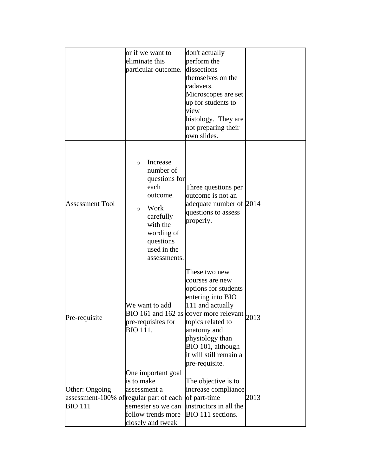|                                                                             | or if we want to<br>eliminate this<br>particular outcome.                                                                                                                    | don't actually<br>perform the<br>dissections<br>themselves on the<br>cadavers.<br>Microscopes are set<br>up for students to<br>view<br>histology. They are<br>not preparing their<br>own slides.                                                                              |      |
|-----------------------------------------------------------------------------|------------------------------------------------------------------------------------------------------------------------------------------------------------------------------|-------------------------------------------------------------------------------------------------------------------------------------------------------------------------------------------------------------------------------------------------------------------------------|------|
| <b>Assessment Tool</b>                                                      | Increase<br>$\Omega$<br>number of<br>questions for<br>each<br>outcome.<br>Work<br>$\circ$<br>carefully<br>with the<br>wording of<br>questions<br>used in the<br>assessments. | Three questions per<br>outcome is not an<br>adequate number of 2014<br>questions to assess<br>properly.                                                                                                                                                                       |      |
| Pre-requisite                                                               | We want to add<br>pre-requisites for<br>BIO 111.                                                                                                                             | These two new<br>courses are new<br>options for students<br>entering into BIO<br>111 and actually<br>BIO 161 and 162 as cover more relevant $_{2013}$<br>topics related to<br>anatomy and<br>physiology than<br>BIO 101, although<br>it will still remain a<br>pre-requisite. |      |
| Other: Ongoing<br>assessment-100% of regular part of each<br><b>BIO 111</b> | One important goal<br>is to make<br>assessment a<br>semester so we can<br>follow trends more<br>closely and tweak                                                            | The objective is to<br>increase compliance<br>of part-time<br>instructors in all the<br>BIO 111 sections.                                                                                                                                                                     | 2013 |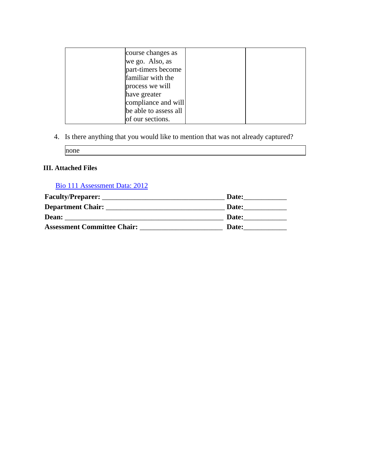| course changes as<br>we go. Also, as<br>part-timers become<br>familiar with the<br>process we will<br>have greater |  |
|--------------------------------------------------------------------------------------------------------------------|--|
| compliance and will                                                                                                |  |
| be able to assess all                                                                                              |  |
| of our sections.                                                                                                   |  |

4. Is there anything that you would like to mention that was not already captured?

none

# **III. Attached Files**

# [Bio 111 Assessment Data: 2012](documents/Bio111_assessquestions)

| <b>Faculty/Preparer:</b>           | Date: |
|------------------------------------|-------|
| <b>Department Chair:</b>           | Date: |
| Dean:                              | Date: |
| <b>Assessment Committee Chair:</b> | Date: |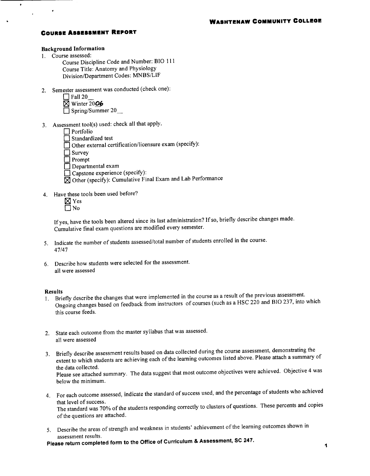## **COURSE ASSESSMENT REPORT**

#### **Background Information**

1. Course assessed:

 $\bullet$ 

- Course Discipline Code and Number: BIO 111 Course Title: Anatomy and Physiology Division/Department Codes: MNBS/LIF
- 2. Semester assessment was conducted (check one):

| $\Box$ Fall 20          |  |
|-------------------------|--|
| $\boxtimes$ Winter 2006 |  |
| $\Box$ Spring/Summer 20 |  |

- 3. Assessment tool(s) used: check all that apply.
	- $\Box$  Portfolio
	- $\Box$  Standardized test
	- □ Other external certification/licensure exam (specify):
	- $\Box$  Survey
	- $\Box$  Prompt
	- $\Box$  Departmental exam
	- Capstone experience (specify):
	- $\boxtimes$  Other (specify): Cumulative Final Exam and Lab Performance
- 4. Have these tools been used before?
	- $\boxtimes$  Yes  $\Box$  No

If yes, have the tools been altered since its last administration? If so, briefly describe changes made. Cumulative final exam questions are modified every semester.

- 5. Indicate the number of students assessed/total number of students enrolled in the course. 47/47
- 6. Describe how students were selected for the assessment. all were assessed

#### **Results**

- Briefly describe the changes that were implemented in the course as a result of the previous assessment.  $1.$ Ongoing changes based on feedback from instructors of courses (such as a HSC 220 and BIO 237, into which this course feeds.
- 2. State each outcome from the master syllabus that was assessed. all were assessed
- 3. Briefly describe assessment results based on data collected during the course assessment, demonstrating the extent to which students are achieving each of the learning outcomes listed above. Please attach a summary of the data collected.

Please see attached summary. The data suggest that most outcome objectives were achieved. Objective 4 was below the minimum.

- 4. For each outcome assessed, indicate the standard of success used, and the percentage of students who achieved that level of success. The standard was 70% of the students responding correctly to clusters of questions. These percents and copies of the questions are attached.
- 5. Describe the areas of strength and weakness in students' achievement of the learning outcomes shown in assessment results.

Please return completed form to the Office of Curriculum & Assessment, SC 247.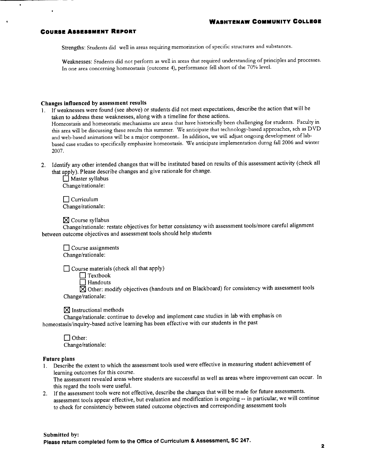#### **COURSE ASSESSMENT REPORT**

Strengths: Students did well in areas requiring memorization of specific structures and substances.

Weaknesses: Students did not perform as well in areas that required understanding of principles and processes. In one area concerning homeostasis (outcome 4), performance fell short of the 70% level.

#### Changes influenced by assessment results

- 1. If weaknesses were found (see above) or students did not meet expectations, describe the action that will be taken to address these weaknesses, along with a timeline for these actions. Homeostasis and homeostatic mechanisms are areas that have historically been challenging for students. Faculty in this area will be discussing these results this summer. We anticipate that technology-based approaches, sch as DVD and web-based animations will be a major component.. In addition, we will adjust ongoing development of labbased case studies to specifically emphasize homeostasis. We anticipate implementation durng fall 2006 and winter 2007.
- 2. Identify any other intended changes that will be instituted based on results of this assessment activity (check all that apply). Please describe changes and give rationale for change.

 $\Box$  Master syllabus Change/rationale:

 $\Box$  Curriculum Change/rationale:

 $\boxtimes$  Course syllabus

Change/rationale: restate objectives for better consistency with assessment tools/more careful alignment between outcome objectives and assessment tools should help students

 $\Box$  Course assignments Change/rationale:

 $\Box$  Course materials (check all that apply)

 $\Box$  Textbook

 $\Box$  Handouts

 $\boxtimes$  Other: modify objectives (handouts and on Blackboard) for consistency with assessment tools Change/rationale:

 $\boxtimes$  Instructional methods

Change/rationale: continue to develop and implement case studies in lab with emphasis on homeostasis/inquiry-based active learning has been effective with our students in the past

 $\Box$  Other: Change/rationale:

#### **Future plans**

1. Describe the extent to which the assessment tools used were effective in measuring student achievement of learning outcomes for this course.

The assessment revealed areas where students are successful as well as areas where improvement can occur. In this regard the tools were useful.

2. If the assessment tools were not effective, describe the changes that will be made for future assessments. assessment tools appear effective, but evaluation and modification is ongoing -- in particular, we will continue to check for consistenciy between stated outcome objectives and corresponding assessment tools